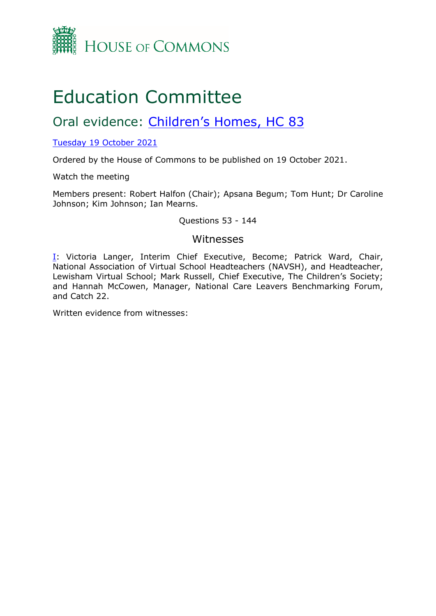

# Education Committee

# Oral evidence: [Children's](https://committees.parliament.uk/work/1111/childrens-homes/) [Homes,](https://committees.parliament.uk/work/1111/childrens-homes/) [HC](https://committees.parliament.uk/work/1111/childrens-homes/) [83](https://committees.parliament.uk/work/1111/childrens-homes/)

# [Tuesday](https://www.parliamentlive.tv/Event/Index/29ab77c0-9906-492f-93df-d1b4f039f5af) [19](https://www.parliamentlive.tv/Event/Index/29ab77c0-9906-492f-93df-d1b4f039f5af) [October](https://www.parliamentlive.tv/Event/Index/29ab77c0-9906-492f-93df-d1b4f039f5af) [2021](https://www.parliamentlive.tv/Event/Index/29ab77c0-9906-492f-93df-d1b4f039f5af)

Ordered by the House of Commons to be published on 19 October 2021.

Watch the meeting

Members present: Robert Halfon (Chair); Apsana Begum; Tom Hunt; Dr Caroline Johnson; Kim Johnson; Ian Mearns.

# Questions 53 - 144

# Witnesses

[I:](#page-1-0) Victoria Langer, Interim Chief Executive, Become; Patrick Ward, Chair, National Association of Virtual School Headteachers (NAVSH), and Headteacher, Lewisham Virtual School; Mark Russell, Chief Executive, The Children's Society; and Hannah McCowen, Manager, National Care Leavers Benchmarking Forum, and Catch 22.

Written evidence from witnesses: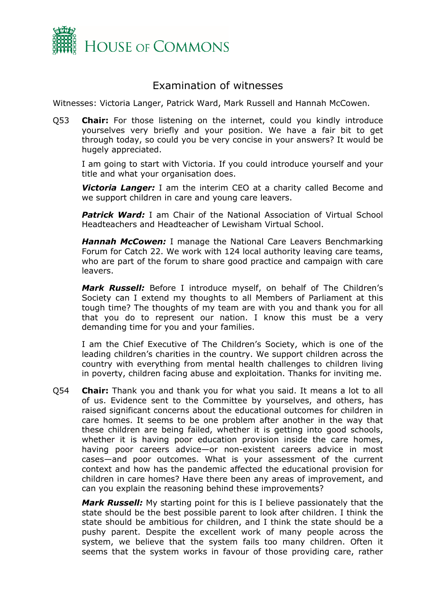

# <span id="page-1-0"></span>Examination of witnesses

Witnesses: Victoria Langer, Patrick Ward, Mark Russell and Hannah McCowen.

Q53 **Chair:** For those listening on the internet, could you kindly introduce yourselves very briefly and your position. We have a fair bit to get through today, so could you be very concise in your answers? It would be hugely appreciated.

I am going to start with Victoria. If you could introduce yourself and your title and what your organisation does.

*Victoria Langer:* I am the interim CEO at a charity called Become and we support children in care and young care leavers.

*Patrick Ward:* I am Chair of the National Association of Virtual School Headteachers and Headteacher of Lewisham Virtual School.

*Hannah McCowen:* I manage the National Care Leavers Benchmarking Forum for Catch 22. We work with 124 local authority leaving care teams, who are part of the forum to share good practice and campaign with care leavers.

*Mark Russell:* Before I introduce myself, on behalf of The Children's Society can I extend my thoughts to all Members of Parliament at this tough time? The thoughts of my team are with you and thank you for all that you do to represent our nation. I know this must be a very demanding time for you and your families.

I am the Chief Executive of The Children's Society, which is one of the leading children's charities in the country. We support children across the country with everything from mental health challenges to children living in poverty, children facing abuse and exploitation. Thanks for inviting me.

Q54 **Chair:** Thank you and thank you for what you said. It means a lot to all of us. Evidence sent to the Committee by yourselves, and others, has raised significant concerns about the educational outcomes for children in care homes. It seems to be one problem after another in the way that these children are being failed, whether it is getting into good schools, whether it is having poor education provision inside the care homes, having poor careers advice—or non-existent careers advice in most cases—and poor outcomes. What is your assessment of the current context and how has the pandemic affected the educational provision for children in care homes? Have there been any areas of improvement, and can you explain the reasoning behind these improvements?

*Mark Russell:* My starting point for this is I believe passionately that the state should be the best possible parent to look after children. I think the state should be ambitious for children, and I think the state should be a pushy parent. Despite the excellent work of many people across the system, we believe that the system fails too many children. Often it seems that the system works in favour of those providing care, rather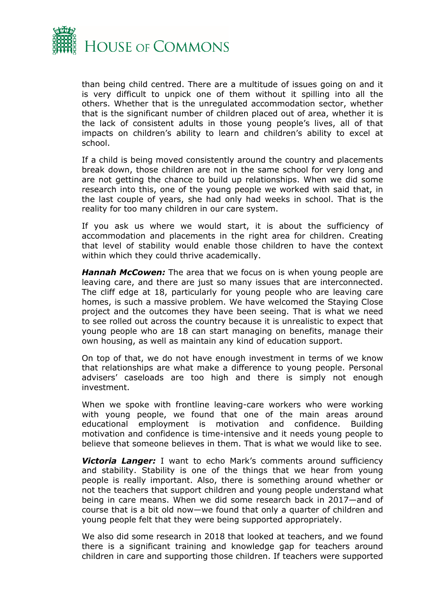

than being child centred. There are a multitude of issues going on and it is very difficult to unpick one of them without it spilling into all the others. Whether that is the unregulated accommodation sector, whether that is the significant number of children placed out of area, whether it is the lack of consistent adults in those young people's lives, all of that impacts on children's ability to learn and children's ability to excel at school.

If a child is being moved consistently around the country and placements break down, those children are not in the same school for very long and are not getting the chance to build up relationships. When we did some research into this, one of the young people we worked with said that, in the last couple of years, she had only had weeks in school. That is the reality for too many children in our care system.

If you ask us where we would start, it is about the sufficiency of accommodation and placements in the right area for children. Creating that level of stability would enable those children to have the context within which they could thrive academically.

*Hannah McCowen:* The area that we focus on is when young people are leaving care, and there are just so many issues that are interconnected. The cliff edge at 18, particularly for young people who are leaving care homes, is such a massive problem. We have welcomed the Staying Close project and the outcomes they have been seeing. That is what we need to see rolled out across the country because it is unrealistic to expect that young people who are 18 can start managing on benefits, manage their own housing, as well as maintain any kind of education support.

On top of that, we do not have enough investment in terms of we know that relationships are what make a difference to young people. Personal advisers' caseloads are too high and there is simply not enough investment.

When we spoke with frontline leaving-care workers who were working with young people, we found that one of the main areas around educational employment is motivation and confidence. Building motivation and confidence is time-intensive and it needs young people to believe that someone believes in them. That is what we would like to see.

*Victoria Langer:* I want to echo Mark's comments around sufficiency and stability. Stability is one of the things that we hear from young people is really important. Also, there is something around whether or not the teachers that support children and young people understand what being in care means. When we did some research back in 2017—and of course that is a bit old now—we found that only a quarter of children and young people felt that they were being supported appropriately.

We also did some research in 2018 that looked at teachers, and we found there is a significant training and knowledge gap for teachers around children in care and supporting those children. If teachers were supported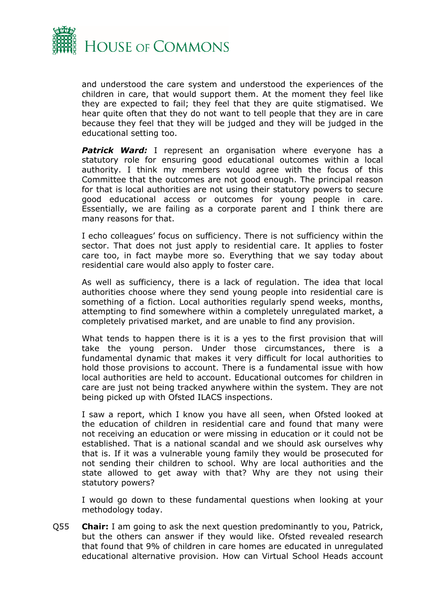

and understood the care system and understood the experiences of the children in care, that would support them. At the moment they feel like they are expected to fail; they feel that they are quite stigmatised. We hear quite often that they do not want to tell people that they are in care because they feel that they will be judged and they will be judged in the educational setting too.

**Patrick Ward:** I represent an organisation where everyone has a statutory role for ensuring good educational outcomes within a local authority. I think my members would agree with the focus of this Committee that the outcomes are not good enough. The principal reason for that is local authorities are not using their statutory powers to secure good educational access or outcomes for young people in care. Essentially, we are failing as a corporate parent and I think there are many reasons for that.

I echo colleagues' focus on sufficiency. There is not sufficiency within the sector. That does not just apply to residential care. It applies to foster care too, in fact maybe more so. Everything that we say today about residential care would also apply to foster care.

As well as sufficiency, there is a lack of regulation. The idea that local authorities choose where they send young people into residential care is something of a fiction. Local authorities regularly spend weeks, months, attempting to find somewhere within a completely unregulated market, a completely privatised market, and are unable to find any provision.

What tends to happen there is it is a yes to the first provision that will take the young person. Under those circumstances, there is a fundamental dynamic that makes it very difficult for local authorities to hold those provisions to account. There is a fundamental issue with how local authorities are held to account. Educational outcomes for children in care are just not being tracked anywhere within the system. They are not being picked up with Ofsted ILACS inspections.

I saw a report, which I know you have all seen, when Ofsted looked at the education of children in residential care and found that many were not receiving an education or were missing in education or it could not be established. That is a national scandal and we should ask ourselves why that is. If it was a vulnerable young family they would be prosecuted for not sending their children to school. Why are local authorities and the state allowed to get away with that? Why are they not using their statutory powers?

I would go down to these fundamental questions when looking at your methodology today.

Q55 **Chair:** I am going to ask the next question predominantly to you, Patrick, but the others can answer if they would like. Ofsted revealed research that found that 9% of children in care homes are educated in unregulated educational alternative provision. How can Virtual School Heads account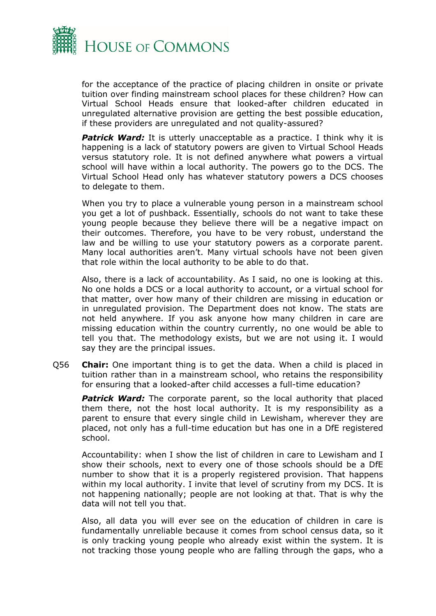

for the acceptance of the practice of placing children in onsite or private tuition over finding mainstream school places for these children? How can Virtual School Heads ensure that looked-after children educated in unregulated alternative provision are getting the best possible education, if these providers are unregulated and not quality-assured?

*Patrick Ward:* It is utterly unacceptable as a practice. I think why it is happening is a lack of statutory powers are given to Virtual School Heads versus statutory role. It is not defined anywhere what powers a virtual school will have within a local authority. The powers go to the DCS. The Virtual School Head only has whatever statutory powers a DCS chooses to delegate to them.

When you try to place a vulnerable young person in a mainstream school you get a lot of pushback. Essentially, schools do not want to take these young people because they believe there will be a negative impact on their outcomes. Therefore, you have to be very robust, understand the law and be willing to use your statutory powers as a corporate parent. Many local authorities aren't. Many virtual schools have not been given that role within the local authority to be able to do that.

Also, there is a lack of accountability. As I said, no one is looking at this. No one holds a DCS or a local authority to account, or a virtual school for that matter, over how many of their children are missing in education or in unregulated provision. The Department does not know. The stats are not held anywhere. If you ask anyone how many children in care are missing education within the country currently, no one would be able to tell you that. The methodology exists, but we are not using it. I would say they are the principal issues.

Q56 **Chair:** One important thing is to get the data. When a child is placed in tuition rather than in a mainstream school, who retains the responsibility for ensuring that a looked-after child accesses a full-time education?

**Patrick Ward:** The corporate parent, so the local authority that placed them there, not the host local authority. It is my responsibility as a parent to ensure that every single child in Lewisham, wherever they are placed, not only has a full-time education but has one in a DfE registered school.

Accountability: when I show the list of children in care to Lewisham and I show their schools, next to every one of those schools should be a DfE number to show that it is a properly registered provision. That happens within my local authority. I invite that level of scrutiny from my DCS. It is not happening nationally; people are not looking at that. That is why the data will not tell you that.

Also, all data you will ever see on the education of children in care is fundamentally unreliable because it comes from school census data, so it is only tracking young people who already exist within the system. It is not tracking those young people who are falling through the gaps, who a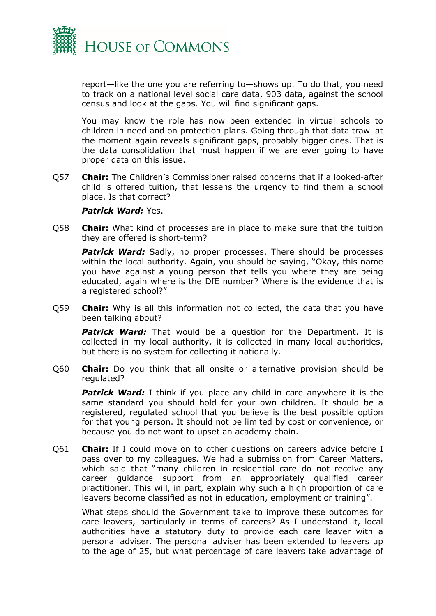

report—like the one you are referring to—shows up. To do that, you need to track on a national level social care data, 903 data, against the school census and look at the gaps. You will find significant gaps.

You may know the role has now been extended in virtual schools to children in need and on protection plans. Going through that data trawl at the moment again reveals significant gaps, probably bigger ones. That is the data consolidation that must happen if we are ever going to have proper data on this issue.

Q57 **Chair:** The Children's Commissioner raised concerns that if a looked-after child is offered tuition, that lessens the urgency to find them a school place. Is that correct?

#### *Patrick Ward:* Yes.

Q58 **Chair:** What kind of processes are in place to make sure that the tuition they are offered is short-term?

**Patrick Ward:** Sadly, no proper processes. There should be processes within the local authority. Again, you should be saying, "Okay, this name you have against a young person that tells you where they are being educated, again where is the DfE number? Where is the evidence that is a registered school?"

Q59 **Chair:** Why is all this information not collected, the data that you have been talking about?

*Patrick Ward:* That would be a question for the Department. It is collected in my local authority, it is collected in many local authorities, but there is no system for collecting it nationally.

Q60 **Chair:** Do you think that all onsite or alternative provision should be regulated?

**Patrick Ward:** I think if you place any child in care anywhere it is the same standard you should hold for your own children. It should be a registered, regulated school that you believe is the best possible option for that young person. It should not be limited by cost or convenience, or because you do not want to upset an academy chain.

Q61 **Chair:** If I could move on to other questions on careers advice before I pass over to my colleagues. We had a submission from Career Matters, which said that "many children in residential care do not receive any career guidance support from an appropriately qualified career practitioner. This will, in part, explain why such a high proportion of care leavers become classified as not in education, employment or training".

What steps should the Government take to improve these outcomes for care leavers, particularly in terms of careers? As I understand it, local authorities have a statutory duty to provide each care leaver with a personal adviser. The personal adviser has been extended to leavers up to the age of 25, but what percentage of care leavers take advantage of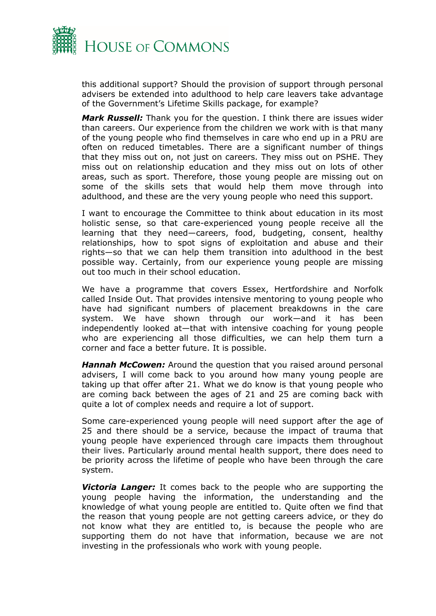

this additional support? Should the provision of support through personal advisers be extended into adulthood to help care leavers take advantage of the Government's Lifetime Skills package, for example?

*Mark Russell:* Thank you for the question. I think there are issues wider than careers. Our experience from the children we work with is that many of the young people who find themselves in care who end up in a PRU are often on reduced timetables. There are a significant number of things that they miss out on, not just on careers. They miss out on PSHE. They miss out on relationship education and they miss out on lots of other areas, such as sport. Therefore, those young people are missing out on some of the skills sets that would help them move through into adulthood, and these are the very young people who need this support.

I want to encourage the Committee to think about education in its most holistic sense, so that care-experienced young people receive all the learning that they need—careers, food, budgeting, consent, healthy relationships, how to spot signs of exploitation and abuse and their rights—so that we can help them transition into adulthood in the best possible way. Certainly, from our experience young people are missing out too much in their school education.

We have a programme that covers Essex, Hertfordshire and Norfolk called Inside Out. That provides intensive mentoring to young people who have had significant numbers of placement breakdowns in the care system. We have shown through our work—and it has been independently looked at—that with intensive coaching for young people who are experiencing all those difficulties, we can help them turn a corner and face a better future. It is possible.

*Hannah McCowen:* Around the question that you raised around personal advisers, I will come back to you around how many young people are taking up that offer after 21. What we do know is that young people who are coming back between the ages of 21 and 25 are coming back with quite a lot of complex needs and require a lot of support.

Some care-experienced young people will need support after the age of 25 and there should be a service, because the impact of trauma that young people have experienced through care impacts them throughout their lives. Particularly around mental health support, there does need to be priority across the lifetime of people who have been through the care system.

*Victoria Langer:* It comes back to the people who are supporting the young people having the information, the understanding and the knowledge of what young people are entitled to. Quite often we find that the reason that young people are not getting careers advice, or they do not know what they are entitled to, is because the people who are supporting them do not have that information, because we are not investing in the professionals who work with young people.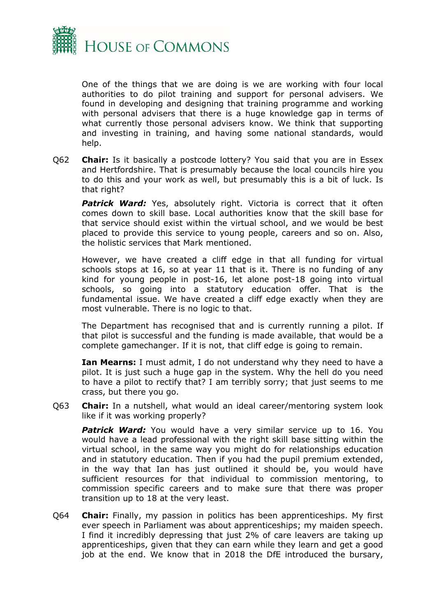

One of the things that we are doing is we are working with four local authorities to do pilot training and support for personal advisers. We found in developing and designing that training programme and working with personal advisers that there is a huge knowledge gap in terms of what currently those personal advisers know. We think that supporting and investing in training, and having some national standards, would help.

Q62 **Chair:** Is it basically a postcode lottery? You said that you are in Essex and Hertfordshire. That is presumably because the local councils hire you to do this and your work as well, but presumably this is a bit of luck. Is that right?

**Patrick Ward:** Yes, absolutely right. Victoria is correct that it often comes down to skill base. Local authorities know that the skill base for that service should exist within the virtual school, and we would be best placed to provide this service to young people, careers and so on. Also, the holistic services that Mark mentioned.

However, we have created a cliff edge in that all funding for virtual schools stops at 16, so at year 11 that is it. There is no funding of any kind for young people in post-16, let alone post-18 going into virtual schools, so going into a statutory education offer. That is the fundamental issue. We have created a cliff edge exactly when they are most vulnerable. There is no logic to that.

The Department has recognised that and is currently running a pilot. If that pilot is successful and the funding is made available, that would be a complete gamechanger. If it is not, that cliff edge is going to remain.

**Ian Mearns:** I must admit, I do not understand why they need to have a pilot. It is just such a huge gap in the system. Why the hell do you need to have a pilot to rectify that? I am terribly sorry; that just seems to me crass, but there you go.

Q63 **Chair:** In a nutshell, what would an ideal career/mentoring system look like if it was working properly?

**Patrick Ward:** You would have a very similar service up to 16. You would have a lead professional with the right skill base sitting within the virtual school, in the same way you might do for relationships education and in statutory education. Then if you had the pupil premium extended, in the way that Ian has just outlined it should be, you would have sufficient resources for that individual to commission mentoring, to commission specific careers and to make sure that there was proper transition up to 18 at the very least.

Q64 **Chair:** Finally, my passion in politics has been apprenticeships. My first ever speech in Parliament was about apprenticeships; my maiden speech. I find it incredibly depressing that just 2% of care leavers are taking up apprenticeships, given that they can earn while they learn and get a good job at the end. We know that in 2018 the DfE introduced the bursary,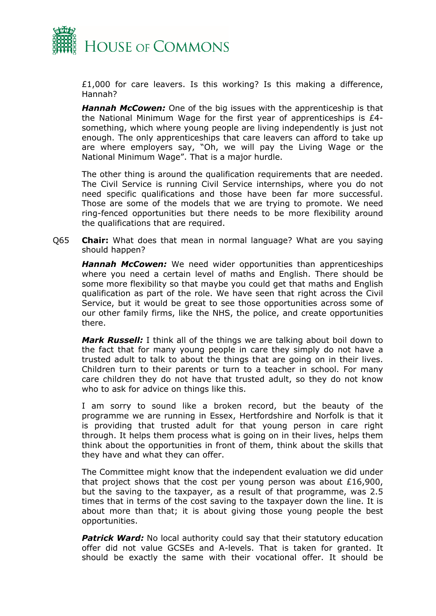

£1,000 for care leavers. Is this working? Is this making a difference, Hannah?

*Hannah McCowen:* One of the big issues with the apprenticeship is that the National Minimum Wage for the first year of apprenticeships is £4 something, which where young people are living independently is just not enough. The only apprenticeships that care leavers can afford to take up are where employers say, "Oh, we will pay the Living Wage or the National Minimum Wage". That is a major hurdle.

The other thing is around the qualification requirements that are needed. The Civil Service is running Civil Service internships, where you do not need specific qualifications and those have been far more successful. Those are some of the models that we are trying to promote. We need ring-fenced opportunities but there needs to be more flexibility around the qualifications that are required.

Q65 **Chair:** What does that mean in normal language? What are you saying should happen?

*Hannah McCowen:* We need wider opportunities than apprenticeships where you need a certain level of maths and English. There should be some more flexibility so that maybe you could get that maths and English qualification as part of the role. We have seen that right across the Civil Service, but it would be great to see those opportunities across some of our other family firms, like the NHS, the police, and create opportunities there.

*Mark Russell:* I think all of the things we are talking about boil down to the fact that for many young people in care they simply do not have a trusted adult to talk to about the things that are going on in their lives. Children turn to their parents or turn to a teacher in school. For many care children they do not have that trusted adult, so they do not know who to ask for advice on things like this.

I am sorry to sound like a broken record, but the beauty of the programme we are running in Essex, Hertfordshire and Norfolk is that it is providing that trusted adult for that young person in care right through. It helps them process what is going on in their lives, helps them think about the opportunities in front of them, think about the skills that they have and what they can offer.

The Committee might know that the independent evaluation we did under that project shows that the cost per young person was about £16,900, but the saving to the taxpayer, as a result of that programme, was 2.5 times that in terms of the cost saving to the taxpayer down the line. It is about more than that; it is about giving those young people the best opportunities.

**Patrick Ward:** No local authority could say that their statutory education offer did not value GCSEs and A-levels. That is taken for granted. It should be exactly the same with their vocational offer. It should be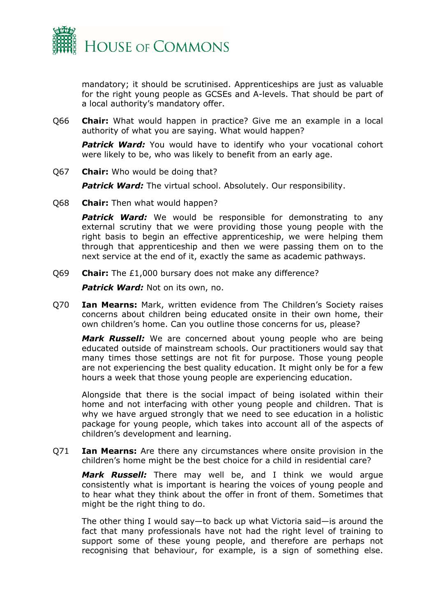

mandatory; it should be scrutinised. Apprenticeships are just as valuable for the right young people as GCSEs and A-levels. That should be part of a local authority's mandatory offer.

Q66 **Chair:** What would happen in practice? Give me an example in a local authority of what you are saying. What would happen?

**Patrick Ward:** You would have to identify who your vocational cohort were likely to be, who was likely to benefit from an early age.

Q67 **Chair:** Who would be doing that?

*Patrick Ward:* The virtual school. Absolutely. Our responsibility.

Q68 **Chair:** Then what would happen?

**Patrick Ward:** We would be responsible for demonstrating to any external scrutiny that we were providing those young people with the right basis to begin an effective apprenticeship, we were helping them through that apprenticeship and then we were passing them on to the next service at the end of it, exactly the same as academic pathways.

Q69 **Chair:** The £1,000 bursary does not make any difference?

*Patrick Ward:* Not on its own, no.

Q70 **Ian Mearns:** Mark, written evidence from The Children's Society raises concerns about children being educated onsite in their own home, their own children's home. Can you outline those concerns for us, please?

*Mark Russell:* We are concerned about young people who are being educated outside of mainstream schools. Our practitioners would say that many times those settings are not fit for purpose. Those young people are not experiencing the best quality education. It might only be for a few hours a week that those young people are experiencing education.

Alongside that there is the social impact of being isolated within their home and not interfacing with other young people and children. That is why we have argued strongly that we need to see education in a holistic package for young people, which takes into account all of the aspects of children's development and learning.

Q71 **Ian Mearns:** Are there any circumstances where onsite provision in the children's home might be the best choice for a child in residential care?

*Mark Russell:* There may well be, and I think we would argue consistently what is important is hearing the voices of young people and to hear what they think about the offer in front of them. Sometimes that might be the right thing to do.

The other thing I would say—to back up what Victoria said—is around the fact that many professionals have not had the right level of training to support some of these young people, and therefore are perhaps not recognising that behaviour, for example, is a sign of something else.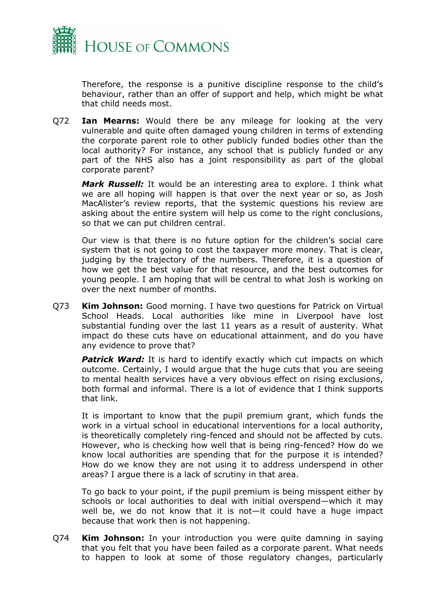

Therefore, the response is a punitive discipline response to the child's behaviour, rather than an offer of support and help, which might be what that child needs most.

Q72 **Ian Mearns:** Would there be any mileage for looking at the very vulnerable and quite often damaged young children in terms of extending the corporate parent role to other publicly funded bodies other than the local authority? For instance, any school that is publicly funded or any part of the NHS also has a joint responsibility as part of the global corporate parent?

*Mark Russell:* It would be an interesting area to explore. I think what we are all hoping will happen is that over the next year or so, as Josh MacAlister's review reports, that the systemic questions his review are asking about the entire system will help us come to the right conclusions, so that we can put children central.

Our view is that there is no future option for the children's social care system that is not going to cost the taxpayer more money. That is clear, judging by the trajectory of the numbers. Therefore, it is a question of how we get the best value for that resource, and the best outcomes for young people. I am hoping that will be central to what Josh is working on over the next number of months.

Q73 **Kim Johnson:** Good morning. I have two questions for Patrick on Virtual School Heads. Local authorities like mine in Liverpool have lost substantial funding over the last 11 years as a result of austerity. What impact do these cuts have on educational attainment, and do you have any evidence to prove that?

**Patrick Ward:** It is hard to identify exactly which cut impacts on which outcome. Certainly, I would argue that the huge cuts that you are seeing to mental health services have a very obvious effect on rising exclusions, both formal and informal. There is a lot of evidence that I think supports that link.

It is important to know that the pupil premium grant, which funds the work in a virtual school in educational interventions for a local authority, is theoretically completely ring-fenced and should not be affected by cuts. However, who is checking how well that is being ring-fenced? How do we know local authorities are spending that for the purpose it is intended? How do we know they are not using it to address underspend in other areas? I argue there is a lack of scrutiny in that area.

To go back to your point, if the pupil premium is being misspent either by schools or local authorities to deal with initial overspend—which it may well be, we do not know that it is not—it could have a huge impact because that work then is not happening.

Q74 **Kim Johnson:** In your introduction you were quite damning in saying that you felt that you have been failed as a corporate parent. What needs to happen to look at some of those regulatory changes, particularly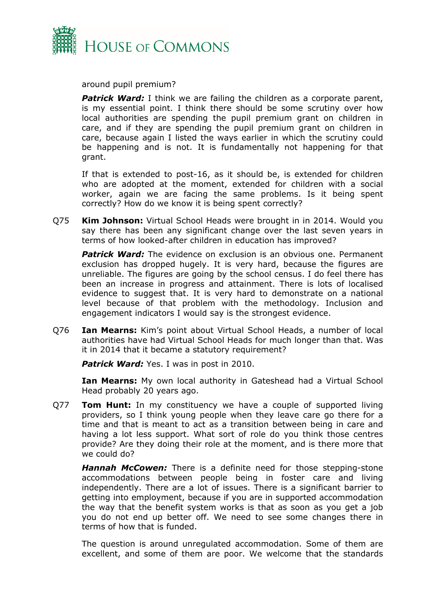

around pupil premium?

**Patrick Ward:** I think we are failing the children as a corporate parent, is my essential point. I think there should be some scrutiny over how local authorities are spending the pupil premium grant on children in care, and if they are spending the pupil premium grant on children in care, because again I listed the ways earlier in which the scrutiny could be happening and is not. It is fundamentally not happening for that grant.

If that is extended to post-16, as it should be, is extended for children who are adopted at the moment, extended for children with a social worker, again we are facing the same problems. Is it being spent correctly? How do we know it is being spent correctly?

Q75 **Kim Johnson:** Virtual School Heads were brought in in 2014. Would you say there has been any significant change over the last seven years in terms of how looked-after children in education has improved?

*Patrick Ward:* The evidence on exclusion is an obvious one. Permanent exclusion has dropped hugely. It is very hard, because the figures are unreliable. The figures are going by the school census. I do feel there has been an increase in progress and attainment. There is lots of localised evidence to suggest that. It is very hard to demonstrate on a national level because of that problem with the methodology. Inclusion and engagement indicators I would say is the strongest evidence.

Q76 **Ian Mearns:** Kim's point about Virtual School Heads, a number of local authorities have had Virtual School Heads for much longer than that. Was it in 2014 that it became a statutory requirement?

*Patrick Ward:* Yes. I was in post in 2010.

**Ian Mearns:** My own local authority in Gateshead had a Virtual School Head probably 20 years ago.

Q77 **Tom Hunt:** In my constituency we have a couple of supported living providers, so I think young people when they leave care go there for a time and that is meant to act as a transition between being in care and having a lot less support. What sort of role do you think those centres provide? Are they doing their role at the moment, and is there more that we could do?

*Hannah McCowen:* There is a definite need for those stepping-stone accommodations between people being in foster care and living independently. There are a lot of issues. There is a significant barrier to getting into employment, because if you are in supported accommodation the way that the benefit system works is that as soon as you get a job you do not end up better off. We need to see some changes there in terms of how that is funded.

The question is around unregulated accommodation. Some of them are excellent, and some of them are poor. We welcome that the standards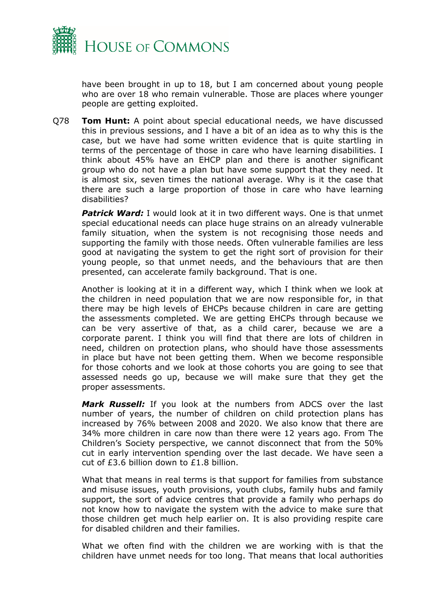

have been brought in up to 18, but I am concerned about young people who are over 18 who remain vulnerable. Those are places where younger people are getting exploited.

Q78 **Tom Hunt:** A point about special educational needs, we have discussed this in previous sessions, and I have a bit of an idea as to why this is the case, but we have had some written evidence that is quite startling in terms of the percentage of those in care who have learning disabilities. I think about 45% have an EHCP plan and there is another significant group who do not have a plan but have some support that they need. It is almost six, seven times the national average. Why is it the case that there are such a large proportion of those in care who have learning disabilities?

*Patrick Ward:* I would look at it in two different ways. One is that unmet special educational needs can place huge strains on an already vulnerable family situation, when the system is not recognising those needs and supporting the family with those needs. Often vulnerable families are less good at navigating the system to get the right sort of provision for their young people, so that unmet needs, and the behaviours that are then presented, can accelerate family background. That is one.

Another is looking at it in a different way, which I think when we look at the children in need population that we are now responsible for, in that there may be high levels of EHCPs because children in care are getting the assessments completed. We are getting EHCPs through because we can be very assertive of that, as a child carer, because we are a corporate parent. I think you will find that there are lots of children in need, children on protection plans, who should have those assessments in place but have not been getting them. When we become responsible for those cohorts and we look at those cohorts you are going to see that assessed needs go up, because we will make sure that they get the proper assessments.

*Mark Russell:* If you look at the numbers from ADCS over the last number of years, the number of children on child protection plans has increased by 76% between 2008 and 2020. We also know that there are 34% more children in care now than there were 12 years ago. From The Children's Society perspective, we cannot disconnect that from the 50% cut in early intervention spending over the last decade. We have seen a cut of £3.6 billion down to £1.8 billion.

What that means in real terms is that support for families from substance and misuse issues, youth provisions, youth clubs, family hubs and family support, the sort of advice centres that provide a family who perhaps do not know how to navigate the system with the advice to make sure that those children get much help earlier on. It is also providing respite care for disabled children and their families.

What we often find with the children we are working with is that the children have unmet needs for too long. That means that local authorities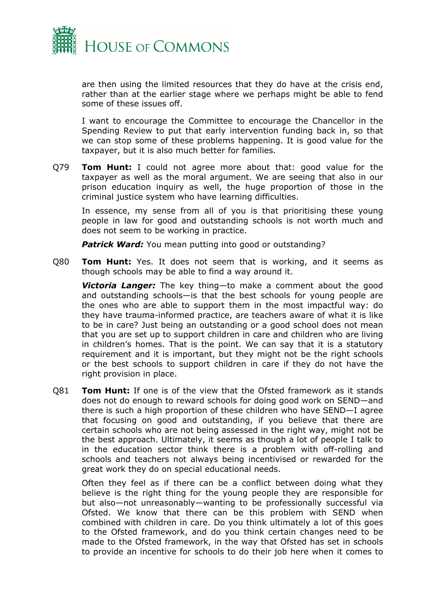

are then using the limited resources that they do have at the crisis end, rather than at the earlier stage where we perhaps might be able to fend some of these issues off.

I want to encourage the Committee to encourage the Chancellor in the Spending Review to put that early intervention funding back in, so that we can stop some of these problems happening. It is good value for the taxpayer, but it is also much better for families.

Q79 **Tom Hunt:** I could not agree more about that: good value for the taxpayer as well as the moral argument. We are seeing that also in our prison education inquiry as well, the huge proportion of those in the criminal justice system who have learning difficulties.

In essence, my sense from all of you is that prioritising these young people in law for good and outstanding schools is not worth much and does not seem to be working in practice.

*Patrick Ward:* You mean putting into good or outstanding?

Q80 **Tom Hunt:** Yes. It does not seem that is working, and it seems as though schools may be able to find a way around it.

*Victoria Langer:* The key thing—to make a comment about the good and outstanding schools—is that the best schools for young people are the ones who are able to support them in the most impactful way: do they have trauma-informed practice, are teachers aware of what it is like to be in care? Just being an outstanding or a good school does not mean that you are set up to support children in care and children who are living in children's homes. That is the point. We can say that it is a statutory requirement and it is important, but they might not be the right schools or the best schools to support children in care if they do not have the right provision in place.

Q81 **Tom Hunt:** If one is of the view that the Ofsted framework as it stands does not do enough to reward schools for doing good work on SEND—and there is such a high proportion of these children who have SEND—I agree that focusing on good and outstanding, if you believe that there are certain schools who are not being assessed in the right way, might not be the best approach. Ultimately, it seems as though a lot of people I talk to in the education sector think there is a problem with off-rolling and schools and teachers not always being incentivised or rewarded for the great work they do on special educational needs.

Often they feel as if there can be a conflict between doing what they believe is the right thing for the young people they are responsible for but also—not unreasonably—wanting to be professionally successful via Ofsted. We know that there can be this problem with SEND when combined with children in care. Do you think ultimately a lot of this goes to the Ofsted framework, and do you think certain changes need to be made to the Ofsted framework, in the way that Ofsted has set in schools to provide an incentive for schools to do their job here when it comes to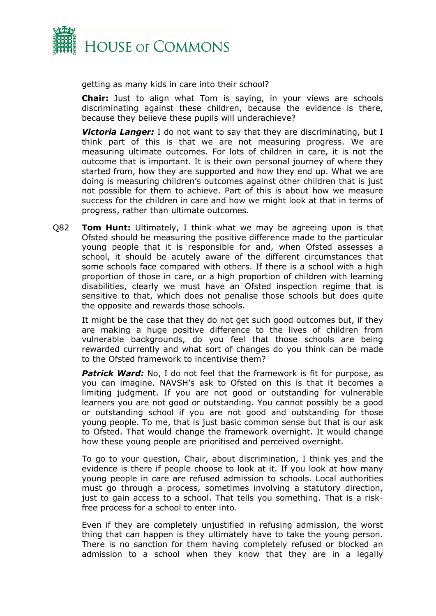

getting as many kids in care into their school?

**Chair:** Just to align what Tom is saying, in your views are schools discriminating against these children, because the evidence is there, because they believe these pupils will underachieve?

*Victoria Langer:* I do not want to say that they are discriminating, but I think part of this is that we are not measuring progress. We are measuring ultimate outcomes. For lots of children in care, it is not the outcome that is important. It is their own personal journey of where they started from, how they are supported and how they end up. What we are doing is measuring children's outcomes against other children that is just not possible for them to achieve. Part of this is about how we measure success for the children in care and how we might look at that in terms of progress, rather than ultimate outcomes.

Q82 **Tom Hunt:** Ultimately, I think what we may be agreeing upon is that Ofsted should be measuring the positive difference made to the particular young people that it is responsible for and, when Ofsted assesses a school, it should be acutely aware of the different circumstances that some schools face compared with others. If there is a school with a high proportion of those in care, or a high proportion of children with learning disabilities, clearly we must have an Ofsted inspection regime that is sensitive to that, which does not penalise those schools but does quite the opposite and rewards those schools.

It might be the case that they do not get such good outcomes but, if they are making a huge positive difference to the lives of children from vulnerable backgrounds, do you feel that those schools are being rewarded currently and what sort of changes do you think can be made to the Ofsted framework to incentivise them?

**Patrick Ward:** No, I do not feel that the framework is fit for purpose, as you can imagine. NAVSH's ask to Ofsted on this is that it becomes a limiting judgment. If you are not good or outstanding for vulnerable learners you are not good or outstanding. You cannot possibly be a good or outstanding school if you are not good and outstanding for those young people. To me, that is just basic common sense but that is our ask to Ofsted. That would change the framework overnight. It would change how these young people are prioritised and perceived overnight.

To go to your question, Chair, about discrimination, I think yes and the evidence is there if people choose to look at it. If you look at how many young people in care are refused admission to schools. Local authorities must go through a process, sometimes involving a statutory direction, just to gain access to a school. That tells you something. That is a riskfree process for a school to enter into.

Even if they are completely unjustified in refusing admission, the worst thing that can happen is they ultimately have to take the young person. There is no sanction for them having completely refused or blocked an admission to a school when they know that they are in a legally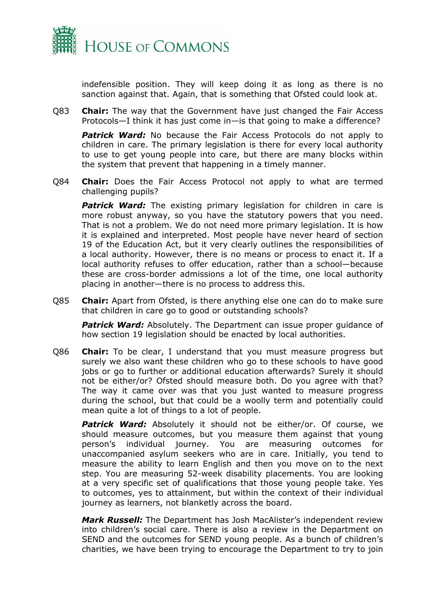

indefensible position. They will keep doing it as long as there is no sanction against that. Again, that is something that Ofsted could look at.

Q83 **Chair:** The way that the Government have just changed the Fair Access Protocols—I think it has just come in—is that going to make a difference?

**Patrick Ward:** No because the Fair Access Protocols do not apply to children in care. The primary legislation is there for every local authority to use to get young people into care, but there are many blocks within the system that prevent that happening in a timely manner.

Q84 **Chair:** Does the Fair Access Protocol not apply to what are termed challenging pupils?

**Patrick Ward:** The existing primary legislation for children in care is more robust anyway, so you have the statutory powers that you need. That is not a problem. We do not need more primary legislation. It is how it is explained and interpreted. Most people have never heard of section 19 of the Education Act, but it very clearly outlines the responsibilities of a local authority. However, there is no means or process to enact it. If a local authority refuses to offer education, rather than a school—because these are cross-border admissions a lot of the time, one local authority placing in another—there is no process to address this.

Q85 **Chair:** Apart from Ofsted, is there anything else one can do to make sure that children in care go to good or outstanding schools?

*Patrick Ward:* Absolutely. The Department can issue proper guidance of how section 19 legislation should be enacted by local authorities.

Q86 **Chair:** To be clear, I understand that you must measure progress but surely we also want these children who go to these schools to have good jobs or go to further or additional education afterwards? Surely it should not be either/or? Ofsted should measure both. Do you agree with that? The way it came over was that you just wanted to measure progress during the school, but that could be a woolly term and potentially could mean quite a lot of things to a lot of people.

**Patrick Ward:** Absolutely it should not be either/or. Of course, we should measure outcomes, but you measure them against that young person's individual journey. You are measuring outcomes for unaccompanied asylum seekers who are in care. Initially, you tend to measure the ability to learn English and then you move on to the next step. You are measuring 52-week disability placements. You are looking at a very specific set of qualifications that those young people take. Yes to outcomes, yes to attainment, but within the context of their individual journey as learners, not blanketly across the board.

*Mark Russell:* The Department has Josh MacAlister's independent review into children's social care. There is also a review in the Department on SEND and the outcomes for SEND young people. As a bunch of children's charities, we have been trying to encourage the Department to try to join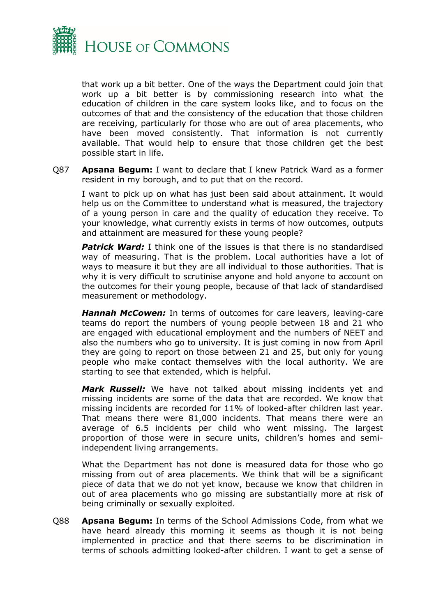

that work up a bit better. One of the ways the Department could join that work up a bit better is by commissioning research into what the education of children in the care system looks like, and to focus on the outcomes of that and the consistency of the education that those children are receiving, particularly for those who are out of area placements, who have been moved consistently. That information is not currently available. That would help to ensure that those children get the best possible start in life.

Q87 **Apsana Begum:** I want to declare that I knew Patrick Ward as a former resident in my borough, and to put that on the record.

I want to pick up on what has just been said about attainment. It would help us on the Committee to understand what is measured, the trajectory of a young person in care and the quality of education they receive. To your knowledge, what currently exists in terms of how outcomes, outputs and attainment are measured for these young people?

*Patrick Ward:* I think one of the issues is that there is no standardised way of measuring. That is the problem. Local authorities have a lot of ways to measure it but they are all individual to those authorities. That is why it is very difficult to scrutinise anyone and hold anyone to account on the outcomes for their young people, because of that lack of standardised measurement or methodology.

*Hannah McCowen:* In terms of outcomes for care leavers, leaving-care teams do report the numbers of young people between 18 and 21 who are engaged with educational employment and the numbers of NEET and also the numbers who go to university. It is just coming in now from April they are going to report on those between 21 and 25, but only for young people who make contact themselves with the local authority. We are starting to see that extended, which is helpful.

*Mark Russell:* We have not talked about missing incidents yet and missing incidents are some of the data that are recorded. We know that missing incidents are recorded for 11% of looked-after children last year. That means there were 81,000 incidents. That means there were an average of 6.5 incidents per child who went missing. The largest proportion of those were in secure units, children's homes and semiindependent living arrangements.

What the Department has not done is measured data for those who go missing from out of area placements. We think that will be a significant piece of data that we do not yet know, because we know that children in out of area placements who go missing are substantially more at risk of being criminally or sexually exploited.

Q88 **Apsana Begum:** In terms of the School Admissions Code, from what we have heard already this morning it seems as though it is not being implemented in practice and that there seems to be discrimination in terms of schools admitting looked-after children. I want to get a sense of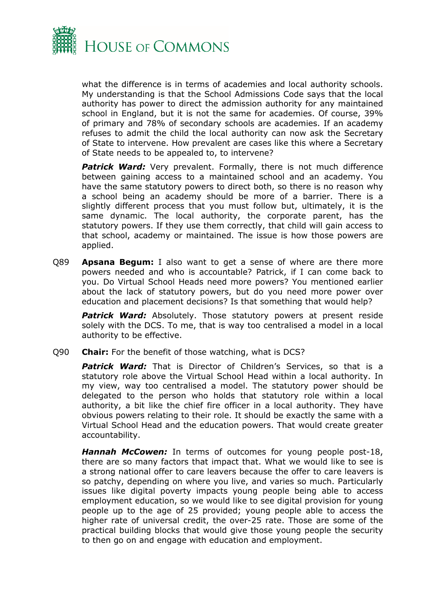

what the difference is in terms of academies and local authority schools. My understanding is that the School Admissions Code says that the local authority has power to direct the admission authority for any maintained school in England, but it is not the same for academies. Of course, 39% of primary and 78% of secondary schools are academies. If an academy refuses to admit the child the local authority can now ask the Secretary of State to intervene. How prevalent are cases like this where a Secretary of State needs to be appealed to, to intervene?

*Patrick Ward:* Very prevalent. Formally, there is not much difference between gaining access to a maintained school and an academy. You have the same statutory powers to direct both, so there is no reason why a school being an academy should be more of a barrier. There is a slightly different process that you must follow but, ultimately, it is the same dynamic. The local authority, the corporate parent, has the statutory powers. If they use them correctly, that child will gain access to that school, academy or maintained. The issue is how those powers are applied.

Q89 **Apsana Begum:** I also want to get a sense of where are there more powers needed and who is accountable? Patrick, if I can come back to you. Do Virtual School Heads need more powers? You mentioned earlier about the lack of statutory powers, but do you need more power over education and placement decisions? Is that something that would help?

**Patrick Ward:** Absolutely. Those statutory powers at present reside solely with the DCS. To me, that is way too centralised a model in a local authority to be effective.

Q90 **Chair:** For the benefit of those watching, what is DCS?

**Patrick Ward:** That is Director of Children's Services, so that is a statutory role above the Virtual School Head within a local authority. In my view, way too centralised a model. The statutory power should be delegated to the person who holds that statutory role within a local authority, a bit like the chief fire officer in a local authority. They have obvious powers relating to their role. It should be exactly the same with a Virtual School Head and the education powers. That would create greater accountability.

*Hannah McCowen:* In terms of outcomes for young people post-18, there are so many factors that impact that. What we would like to see is a strong national offer to care leavers because the offer to care leavers is so patchy, depending on where you live, and varies so much. Particularly issues like digital poverty impacts young people being able to access employment education, so we would like to see digital provision for young people up to the age of 25 provided; young people able to access the higher rate of universal credit, the over-25 rate. Those are some of the practical building blocks that would give those young people the security to then go on and engage with education and employment.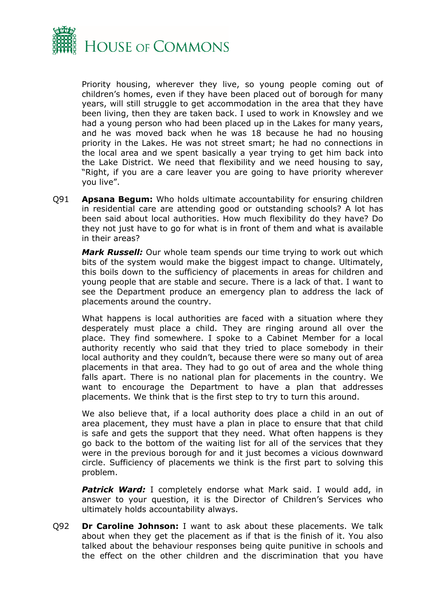

Priority housing, wherever they live, so young people coming out of children's homes, even if they have been placed out of borough for many years, will still struggle to get accommodation in the area that they have been living, then they are taken back. I used to work in Knowsley and we had a young person who had been placed up in the Lakes for many years, and he was moved back when he was 18 because he had no housing priority in the Lakes. He was not street smart; he had no connections in the local area and we spent basically a year trying to get him back into the Lake District. We need that flexibility and we need housing to say, "Right, if you are a care leaver you are going to have priority wherever you live".

Q91 **Apsana Begum:** Who holds ultimate accountability for ensuring children in residential care are attending good or outstanding schools? A lot has been said about local authorities. How much flexibility do they have? Do they not just have to go for what is in front of them and what is available in their areas?

*Mark Russell:* Our whole team spends our time trying to work out which bits of the system would make the biggest impact to change. Ultimately, this boils down to the sufficiency of placements in areas for children and young people that are stable and secure. There is a lack of that. I want to see the Department produce an emergency plan to address the lack of placements around the country.

What happens is local authorities are faced with a situation where they desperately must place a child. They are ringing around all over the place. They find somewhere. I spoke to a Cabinet Member for a local authority recently who said that they tried to place somebody in their local authority and they couldn't, because there were so many out of area placements in that area. They had to go out of area and the whole thing falls apart. There is no national plan for placements in the country. We want to encourage the Department to have a plan that addresses placements. We think that is the first step to try to turn this around.

We also believe that, if a local authority does place a child in an out of area placement, they must have a plan in place to ensure that that child is safe and gets the support that they need. What often happens is they go back to the bottom of the waiting list for all of the services that they were in the previous borough for and it just becomes a vicious downward circle. Sufficiency of placements we think is the first part to solving this problem.

**Patrick Ward:** I completely endorse what Mark said. I would add, in answer to your question, it is the Director of Children's Services who ultimately holds accountability always.

Q92 **Dr Caroline Johnson:** I want to ask about these placements. We talk about when they get the placement as if that is the finish of it. You also talked about the behaviour responses being quite punitive in schools and the effect on the other children and the discrimination that you have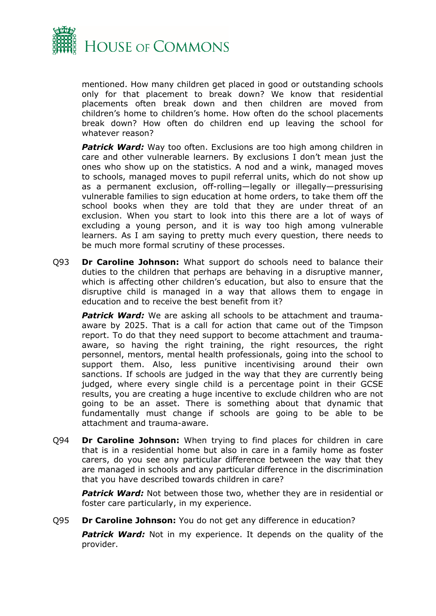

mentioned. How many children get placed in good or outstanding schools only for that placement to break down? We know that residential placements often break down and then children are moved from children's home to children's home. How often do the school placements break down? How often do children end up leaving the school for whatever reason?

*Patrick Ward:* Way too often. Exclusions are too high among children in care and other vulnerable learners. By exclusions I don't mean just the ones who show up on the statistics. A nod and a wink, managed moves to schools, managed moves to pupil referral units, which do not show up as a permanent exclusion, off-rolling—legally or illegally—pressurising vulnerable families to sign education at home orders, to take them off the school books when they are told that they are under threat of an exclusion. When you start to look into this there are a lot of ways of excluding a young person, and it is way too high among vulnerable learners. As I am saying to pretty much every question, there needs to be much more formal scrutiny of these processes.

Q93 **Dr Caroline Johnson:** What support do schools need to balance their duties to the children that perhaps are behaving in a disruptive manner, which is affecting other children's education, but also to ensure that the disruptive child is managed in a way that allows them to engage in education and to receive the best benefit from it?

*Patrick Ward:* We are asking all schools to be attachment and traumaaware by 2025. That is a call for action that came out of the Timpson report. To do that they need support to become attachment and traumaaware, so having the right training, the right resources, the right personnel, mentors, mental health professionals, going into the school to support them. Also, less punitive incentivising around their own sanctions. If schools are judged in the way that they are currently being judged, where every single child is a percentage point in their GCSE results, you are creating a huge incentive to exclude children who are not going to be an asset. There is something about that dynamic that fundamentally must change if schools are going to be able to be attachment and trauma-aware.

Q94 **Dr Caroline Johnson:** When trying to find places for children in care that is in a residential home but also in care in a family home as foster carers, do you see any particular difference between the way that they are managed in schools and any particular difference in the discrimination that you have described towards children in care?

*Patrick Ward:* Not between those two, whether they are in residential or foster care particularly, in my experience.

Q95 **Dr Caroline Johnson:** You do not get any difference in education?

**Patrick Ward:** Not in my experience. It depends on the quality of the provider.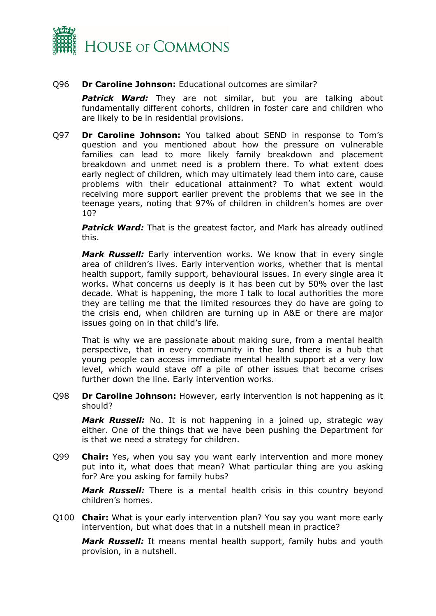

# Q96 **Dr Caroline Johnson:** Educational outcomes are similar?

**Patrick Ward:** They are not similar, but you are talking about fundamentally different cohorts, children in foster care and children who are likely to be in residential provisions.

Q97 **Dr Caroline Johnson:** You talked about SEND in response to Tom's question and you mentioned about how the pressure on vulnerable families can lead to more likely family breakdown and placement breakdown and unmet need is a problem there. To what extent does early neglect of children, which may ultimately lead them into care, cause problems with their educational attainment? To what extent would receiving more support earlier prevent the problems that we see in the teenage years, noting that 97% of children in children's homes are over 10?

*Patrick Ward:* That is the greatest factor, and Mark has already outlined this.

*Mark Russell:* Early intervention works. We know that in every single area of children's lives. Early intervention works, whether that is mental health support, family support, behavioural issues. In every single area it works. What concerns us deeply is it has been cut by 50% over the last decade. What is happening, the more I talk to local authorities the more they are telling me that the limited resources they do have are going to the crisis end, when children are turning up in A&E or there are major issues going on in that child's life.

That is why we are passionate about making sure, from a mental health perspective, that in every community in the land there is a hub that young people can access immediate mental health support at a very low level, which would stave off a pile of other issues that become crises further down the line. Early intervention works.

Q98 **Dr Caroline Johnson:** However, early intervention is not happening as it should?

*Mark Russell:* No. It is not happening in a joined up, strategic way either. One of the things that we have been pushing the Department for is that we need a strategy for children.

Q99 **Chair:** Yes, when you say you want early intervention and more money put into it, what does that mean? What particular thing are you asking for? Are you asking for family hubs?

*Mark Russell:* There is a mental health crisis in this country beyond children's homes.

Q100 **Chair:** What is your early intervention plan? You say you want more early intervention, but what does that in a nutshell mean in practice?

*Mark Russell:* It means mental health support, family hubs and youth provision, in a nutshell.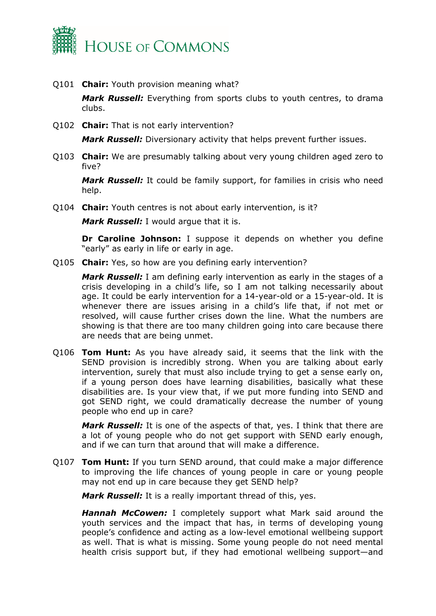

Q101 **Chair:** Youth provision meaning what?

*Mark Russell:* Everything from sports clubs to youth centres, to drama clubs.

Q102 **Chair:** That is not early intervention?

*Mark Russell:* Diversionary activity that helps prevent further issues.

Q103 **Chair:** We are presumably talking about very young children aged zero to five?

*Mark Russell:* It could be family support, for families in crisis who need help.

Q104 **Chair:** Youth centres is not about early intervention, is it?

*Mark Russell:* I would argue that it is.

**Dr Caroline Johnson:** I suppose it depends on whether you define "early" as early in life or early in age.

Q105 **Chair:** Yes, so how are you defining early intervention?

*Mark Russell:* I am defining early intervention as early in the stages of a crisis developing in a child's life, so I am not talking necessarily about age. It could be early intervention for a 14-year-old or a 15-year-old. It is whenever there are issues arising in a child's life that, if not met or resolved, will cause further crises down the line. What the numbers are showing is that there are too many children going into care because there are needs that are being unmet.

Q106 **Tom Hunt:** As you have already said, it seems that the link with the SEND provision is incredibly strong. When you are talking about early intervention, surely that must also include trying to get a sense early on, if a young person does have learning disabilities, basically what these disabilities are. Is your view that, if we put more funding into SEND and got SEND right, we could dramatically decrease the number of young people who end up in care?

*Mark Russell:* It is one of the aspects of that, yes. I think that there are a lot of young people who do not get support with SEND early enough, and if we can turn that around that will make a difference.

Q107 **Tom Hunt:** If you turn SEND around, that could make a major difference to improving the life chances of young people in care or young people may not end up in care because they get SEND help?

*Mark Russell:* It is a really important thread of this, yes.

*Hannah McCowen:* I completely support what Mark said around the youth services and the impact that has, in terms of developing young people's confidence and acting as a low-level emotional wellbeing support as well. That is what is missing. Some young people do not need mental health crisis support but, if they had emotional wellbeing support—and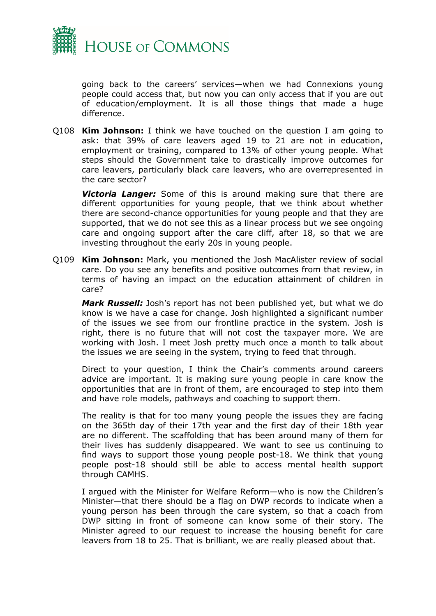

going back to the careers' services—when we had Connexions young people could access that, but now you can only access that if you are out of education/employment. It is all those things that made a huge difference.

Q108 **Kim Johnson:** I think we have touched on the question I am going to ask: that 39% of care leavers aged 19 to 21 are not in education, employment or training, compared to 13% of other young people. What steps should the Government take to drastically improve outcomes for care leavers, particularly black care leavers, who are overrepresented in the care sector?

*Victoria Langer:* Some of this is around making sure that there are different opportunities for young people, that we think about whether there are second-chance opportunities for young people and that they are supported, that we do not see this as a linear process but we see ongoing care and ongoing support after the care cliff, after 18, so that we are investing throughout the early 20s in young people.

Q109 **Kim Johnson:** Mark, you mentioned the Josh MacAlister review of social care. Do you see any benefits and positive outcomes from that review, in terms of having an impact on the education attainment of children in care?

*Mark Russell:* Josh's report has not been published yet, but what we do know is we have a case for change. Josh highlighted a significant number of the issues we see from our frontline practice in the system. Josh is right, there is no future that will not cost the taxpayer more. We are working with Josh. I meet Josh pretty much once a month to talk about the issues we are seeing in the system, trying to feed that through.

Direct to your question, I think the Chair's comments around careers advice are important. It is making sure young people in care know the opportunities that are in front of them, are encouraged to step into them and have role models, pathways and coaching to support them.

The reality is that for too many young people the issues they are facing on the 365th day of their 17th year and the first day of their 18th year are no different. The scaffolding that has been around many of them for their lives has suddenly disappeared. We want to see us continuing to find ways to support those young people post-18. We think that young people post-18 should still be able to access mental health support through CAMHS.

I argued with the Minister for Welfare Reform—who is now the Children's Minister—that there should be a flag on DWP records to indicate when a young person has been through the care system, so that a coach from DWP sitting in front of someone can know some of their story. The Minister agreed to our request to increase the housing benefit for care leavers from 18 to 25. That is brilliant, we are really pleased about that.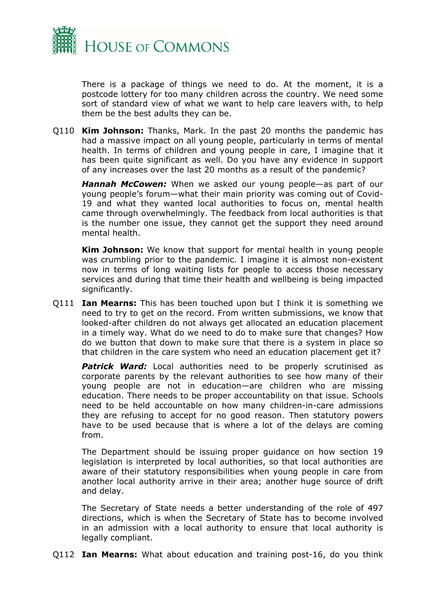

There is a package of things we need to do. At the moment, it is a postcode lottery for too many children across the country. We need some sort of standard view of what we want to help care leavers with, to help them be the best adults they can be.

Q110 **Kim Johnson:** Thanks, Mark. In the past 20 months the pandemic has had a massive impact on all young people, particularly in terms of mental health. In terms of children and young people in care, I imagine that it has been quite significant as well. Do you have any evidence in support of any increases over the last 20 months as a result of the pandemic?

*Hannah McCowen:* When we asked our young people—as part of our young people's forum—what their main priority was coming out of Covid-19 and what they wanted local authorities to focus on, mental health came through overwhelmingly. The feedback from local authorities is that is the number one issue, they cannot get the support they need around mental health.

**Kim Johnson:** We know that support for mental health in young people was crumbling prior to the pandemic. I imagine it is almost non-existent now in terms of long waiting lists for people to access those necessary services and during that time their health and wellbeing is being impacted significantly.

Q111 **Ian Mearns:** This has been touched upon but I think it is something we need to try to get on the record. From written submissions, we know that looked-after children do not always get allocated an education placement in a timely way. What do we need to do to make sure that changes? How do we button that down to make sure that there is a system in place so that children in the care system who need an education placement get it?

**Patrick Ward:** Local authorities need to be properly scrutinised as corporate parents by the relevant authorities to see how many of their young people are not in education—are children who are missing education. There needs to be proper accountability on that issue. Schools need to be held accountable on how many children-in-care admissions they are refusing to accept for no good reason. Then statutory powers have to be used because that is where a lot of the delays are coming from.

The Department should be issuing proper guidance on how section 19 legislation is interpreted by local authorities, so that local authorities are aware of their statutory responsibilities when young people in care from another local authority arrive in their area; another huge source of drift and delay.

The Secretary of State needs a better understanding of the role of 497 directions, which is when the Secretary of State has to become involved in an admission with a local authority to ensure that local authority is legally compliant.

Q112 **Ian Mearns:** What about education and training post-16, do you think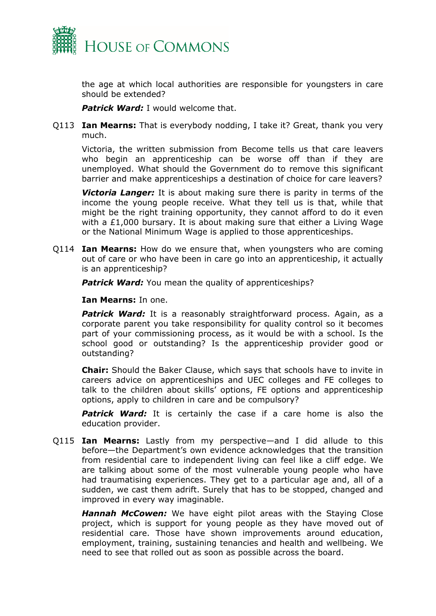

the age at which local authorities are responsible for youngsters in care should be extended?

*Patrick Ward:* I would welcome that.

Q113 **Ian Mearns:** That is everybody nodding, I take it? Great, thank you very much.

Victoria, the written submission from Become tells us that care leavers who begin an apprenticeship can be worse off than if they are unemployed. What should the Government do to remove this significant barrier and make apprenticeships a destination of choice for care leavers?

*Victoria Langer:* It is about making sure there is parity in terms of the income the young people receive. What they tell us is that, while that might be the right training opportunity, they cannot afford to do it even with a £1,000 bursary. It is about making sure that either a Living Wage or the National Minimum Wage is applied to those apprenticeships.

Q114 **Ian Mearns:** How do we ensure that, when youngsters who are coming out of care or who have been in care go into an apprenticeship, it actually is an apprenticeship?

**Patrick Ward:** You mean the quality of apprenticeships?

**Ian Mearns:** In one.

**Patrick Ward:** It is a reasonably straightforward process. Again, as a corporate parent you take responsibility for quality control so it becomes part of your commissioning process, as it would be with a school. Is the school good or outstanding? Is the apprenticeship provider good or outstanding?

**Chair:** Should the Baker Clause, which says that schools have to invite in careers advice on apprenticeships and UEC colleges and FE colleges to talk to the children about skills' options, FE options and apprenticeship options, apply to children in care and be compulsory?

*Patrick Ward:* It is certainly the case if a care home is also the education provider.

Q115 **Ian Mearns:** Lastly from my perspective—and I did allude to this before—the Department's own evidence acknowledges that the transition from residential care to independent living can feel like a cliff edge. We are talking about some of the most vulnerable young people who have had traumatising experiences. They get to a particular age and, all of a sudden, we cast them adrift. Surely that has to be stopped, changed and improved in every way imaginable.

*Hannah McCowen:* We have eight pilot areas with the Staying Close project, which is support for young people as they have moved out of residential care. Those have shown improvements around education, employment, training, sustaining tenancies and health and wellbeing. We need to see that rolled out as soon as possible across the board.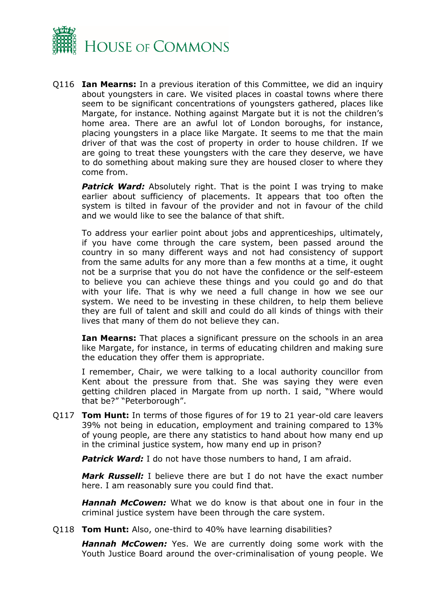

Q116 **Ian Mearns:** In a previous iteration of this Committee, we did an inquiry about youngsters in care. We visited places in coastal towns where there seem to be significant concentrations of youngsters gathered, places like Margate, for instance. Nothing against Margate but it is not the children's home area. There are an awful lot of London boroughs, for instance, placing youngsters in a place like Margate. It seems to me that the main driver of that was the cost of property in order to house children. If we are going to treat these youngsters with the care they deserve, we have to do something about making sure they are housed closer to where they come from.

**Patrick Ward:** Absolutely right. That is the point I was trying to make earlier about sufficiency of placements. It appears that too often the system is tilted in favour of the provider and not in favour of the child and we would like to see the balance of that shift.

To address your earlier point about jobs and apprenticeships, ultimately, if you have come through the care system, been passed around the country in so many different ways and not had consistency of support from the same adults for any more than a few months at a time, it ought not be a surprise that you do not have the confidence or the self-esteem to believe you can achieve these things and you could go and do that with your life. That is why we need a full change in how we see our system. We need to be investing in these children, to help them believe they are full of talent and skill and could do all kinds of things with their lives that many of them do not believe they can.

**Ian Mearns:** That places a significant pressure on the schools in an area like Margate, for instance, in terms of educating children and making sure the education they offer them is appropriate.

I remember, Chair, we were talking to a local authority councillor from Kent about the pressure from that. She was saying they were even getting children placed in Margate from up north. I said, "Where would that be?" "Peterborough".

Q117 **Tom Hunt:** In terms of those figures of for 19 to 21 year-old care leavers 39% not being in education, employment and training compared to 13% of young people, are there any statistics to hand about how many end up in the criminal justice system, how many end up in prison?

*Patrick Ward:* I do not have those numbers to hand, I am afraid.

*Mark Russell:* I believe there are but I do not have the exact number here. I am reasonably sure you could find that.

*Hannah McCowen:* What we do know is that about one in four in the criminal justice system have been through the care system.

Q118 **Tom Hunt:** Also, one-third to 40% have learning disabilities?

*Hannah McCowen:* Yes. We are currently doing some work with the Youth Justice Board around the over-criminalisation of young people. We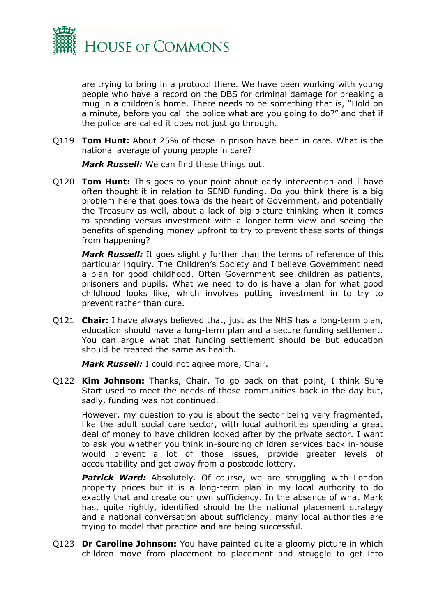

are trying to bring in a protocol there. We have been working with young people who have a record on the DBS for criminal damage for breaking a mug in a children's home. There needs to be something that is, "Hold on a minute, before you call the police what are you going to do?" and that if the police are called it does not just go through.

Q119 **Tom Hunt:** About 25% of those in prison have been in care. What is the national average of young people in care?

*Mark Russell:* We can find these things out.

Q120 **Tom Hunt:** This goes to your point about early intervention and I have often thought it in relation to SEND funding. Do you think there is a big problem here that goes towards the heart of Government, and potentially the Treasury as well, about a lack of big-picture thinking when it comes to spending versus investment with a longer-term view and seeing the benefits of spending money upfront to try to prevent these sorts of things from happening?

*Mark Russell:* It goes slightly further than the terms of reference of this particular inquiry. The Children's Society and I believe Government need a plan for good childhood. Often Government see children as patients, prisoners and pupils. What we need to do is have a plan for what good childhood looks like, which involves putting investment in to try to prevent rather than cure.

Q121 **Chair:** I have always believed that, just as the NHS has a long-term plan, education should have a long-term plan and a secure funding settlement. You can argue what that funding settlement should be but education should be treated the same as health.

*Mark Russell:* I could not agree more, Chair.

Q122 **Kim Johnson:** Thanks, Chair. To go back on that point, I think Sure Start used to meet the needs of those communities back in the day but, sadly, funding was not continued.

However, my question to you is about the sector being very fragmented, like the adult social care sector, with local authorities spending a great deal of money to have children looked after by the private sector. I want to ask you whether you think in-sourcing children services back in-house would prevent a lot of those issues, provide greater levels of accountability and get away from a postcode lottery.

**Patrick Ward:** Absolutely. Of course, we are struggling with London property prices but it is a long-term plan in my local authority to do exactly that and create our own sufficiency. In the absence of what Mark has, quite rightly, identified should be the national placement strategy and a national conversation about sufficiency, many local authorities are trying to model that practice and are being successful.

Q123 **Dr Caroline Johnson:** You have painted quite a gloomy picture in which children move from placement to placement and struggle to get into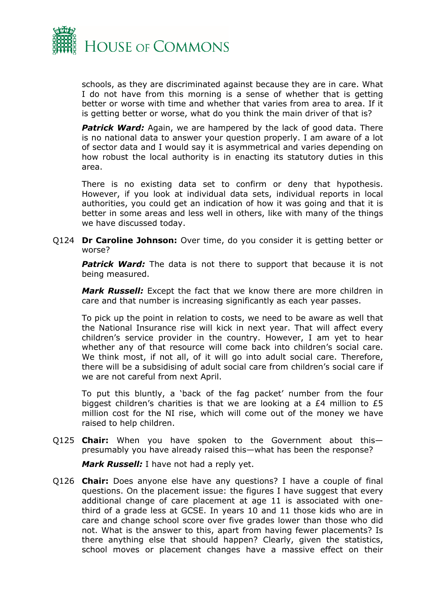

schools, as they are discriminated against because they are in care. What I do not have from this morning is a sense of whether that is getting better or worse with time and whether that varies from area to area. If it is getting better or worse, what do you think the main driver of that is?

**Patrick Ward:** Again, we are hampered by the lack of good data. There is no national data to answer your question properly. I am aware of a lot of sector data and I would say it is asymmetrical and varies depending on how robust the local authority is in enacting its statutory duties in this area.

There is no existing data set to confirm or deny that hypothesis. However, if you look at individual data sets, individual reports in local authorities, you could get an indication of how it was going and that it is better in some areas and less well in others, like with many of the things we have discussed today.

Q124 **Dr Caroline Johnson:** Over time, do you consider it is getting better or worse?

**Patrick Ward:** The data is not there to support that because it is not being measured.

*Mark Russell:* Except the fact that we know there are more children in care and that number is increasing significantly as each year passes.

To pick up the point in relation to costs, we need to be aware as well that the National Insurance rise will kick in next year. That will affect every children's service provider in the country. However, I am yet to hear whether any of that resource will come back into children's social care. We think most, if not all, of it will go into adult social care. Therefore, there will be a subsidising of adult social care from children's social care if we are not careful from next April.

To put this bluntly, a 'back of the fag packet' number from the four biggest children's charities is that we are looking at a £4 million to £5 million cost for the NI rise, which will come out of the money we have raised to help children.

Q125 **Chair:** When you have spoken to the Government about this presumably you have already raised this—what has been the response?

*Mark Russell:* I have not had a reply yet.

Q126 **Chair:** Does anyone else have any questions? I have a couple of final questions. On the placement issue: the figures I have suggest that every additional change of care placement at age 11 is associated with onethird of a grade less at GCSE. In years 10 and 11 those kids who are in care and change school score over five grades lower than those who did not. What is the answer to this, apart from having fewer placements? Is there anything else that should happen? Clearly, given the statistics, school moves or placement changes have a massive effect on their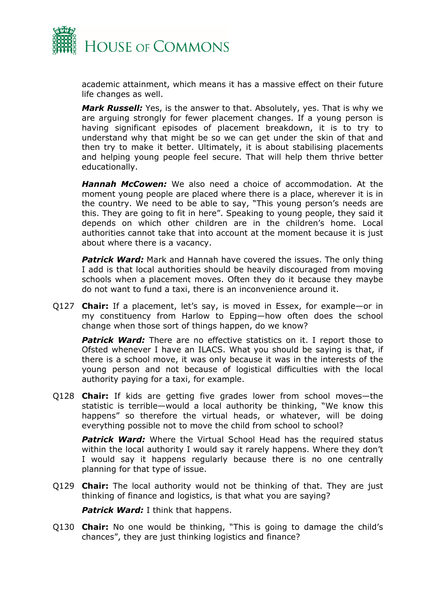

academic attainment, which means it has a massive effect on their future life changes as well.

*Mark Russell:* Yes, is the answer to that. Absolutely, yes. That is why we are arguing strongly for fewer placement changes. If a young person is having significant episodes of placement breakdown, it is to try to understand why that might be so we can get under the skin of that and then try to make it better. Ultimately, it is about stabilising placements and helping young people feel secure. That will help them thrive better educationally.

*Hannah McCowen:* We also need a choice of accommodation. At the moment young people are placed where there is a place, wherever it is in the country. We need to be able to say, "This young person's needs are this. They are going to fit in here". Speaking to young people, they said it depends on which other children are in the children's home. Local authorities cannot take that into account at the moment because it is just about where there is a vacancy.

**Patrick Ward:** Mark and Hannah have covered the issues. The only thing I add is that local authorities should be heavily discouraged from moving schools when a placement moves. Often they do it because they maybe do not want to fund a taxi, there is an inconvenience around it.

Q127 **Chair:** If a placement, let's say, is moved in Essex, for example—or in my constituency from Harlow to Epping—how often does the school change when those sort of things happen, do we know?

**Patrick Ward:** There are no effective statistics on it. I report those to Ofsted whenever I have an ILACS. What you should be saying is that, if there is a school move, it was only because it was in the interests of the young person and not because of logistical difficulties with the local authority paying for a taxi, for example.

Q128 **Chair:** If kids are getting five grades lower from school moves—the statistic is terrible—would a local authority be thinking, "We know this happens" so therefore the virtual heads, or whatever, will be doing everything possible not to move the child from school to school?

**Patrick Ward:** Where the Virtual School Head has the required status within the local authority I would say it rarely happens. Where they don't I would say it happens regularly because there is no one centrally planning for that type of issue.

Q129 **Chair:** The local authority would not be thinking of that. They are just thinking of finance and logistics, is that what you are saying?

*Patrick Ward:* I think that happens.

Q130 **Chair:** No one would be thinking, "This is going to damage the child's chances", they are just thinking logistics and finance?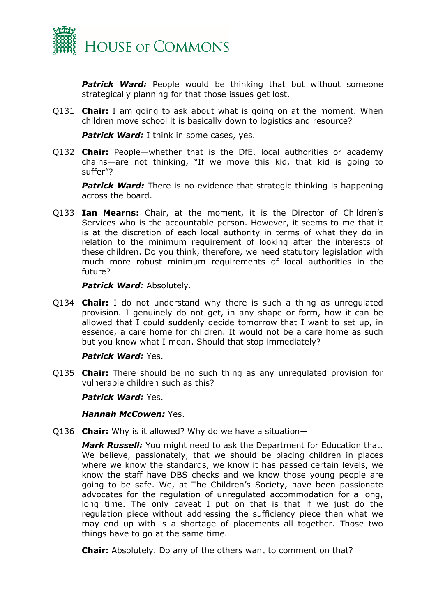

*Patrick Ward:* People would be thinking that but without someone strategically planning for that those issues get lost.

Q131 **Chair:** I am going to ask about what is going on at the moment. When children move school it is basically down to logistics and resource?

*Patrick Ward:* I think in some cases, yes.

Q132 **Chair:** People—whether that is the DfE, local authorities or academy chains—are not thinking, "If we move this kid, that kid is going to suffer"?

**Patrick Ward:** There is no evidence that strategic thinking is happening across the board.

Q133 **Ian Mearns:** Chair, at the moment, it is the Director of Children's Services who is the accountable person. However, it seems to me that it is at the discretion of each local authority in terms of what they do in relation to the minimum requirement of looking after the interests of these children. Do you think, therefore, we need statutory legislation with much more robust minimum requirements of local authorities in the future?

#### *Patrick Ward:* Absolutely.

Q134 **Chair:** I do not understand why there is such a thing as unregulated provision. I genuinely do not get, in any shape or form, how it can be allowed that I could suddenly decide tomorrow that I want to set up, in essence, a care home for children. It would not be a care home as such but you know what I mean. Should that stop immediately?

## *Patrick Ward:* Yes.

Q135 **Chair:** There should be no such thing as any unregulated provision for vulnerable children such as this?

#### *Patrick Ward:* Yes.

#### *Hannah McCowen:* Yes.

Q136 **Chair:** Why is it allowed? Why do we have a situation—

*Mark Russell:* You might need to ask the Department for Education that. We believe, passionately, that we should be placing children in places where we know the standards, we know it has passed certain levels, we know the staff have DBS checks and we know those young people are going to be safe. We, at The Children's Society, have been passionate advocates for the regulation of unregulated accommodation for a long, long time. The only caveat I put on that is that if we just do the regulation piece without addressing the sufficiency piece then what we may end up with is a shortage of placements all together. Those two things have to go at the same time.

**Chair:** Absolutely. Do any of the others want to comment on that?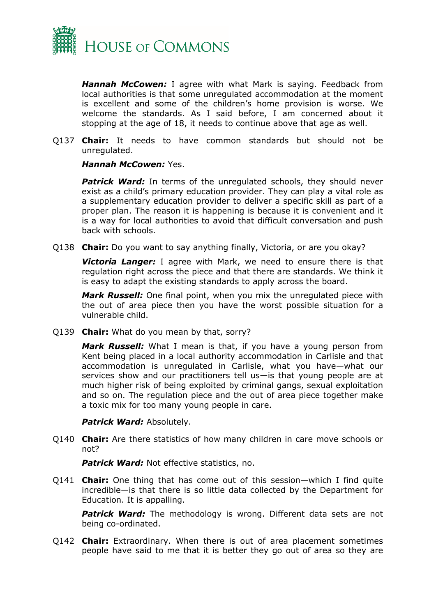

*Hannah McCowen:* I agree with what Mark is saying. Feedback from local authorities is that some unregulated accommodation at the moment is excellent and some of the children's home provision is worse. We welcome the standards. As I said before, I am concerned about it stopping at the age of 18, it needs to continue above that age as well.

Q137 **Chair:** It needs to have common standards but should not be unregulated.

## *Hannah McCowen:* Yes.

**Patrick Ward:** In terms of the unregulated schools, they should never exist as a child's primary education provider. They can play a vital role as a supplementary education provider to deliver a specific skill as part of a proper plan. The reason it is happening is because it is convenient and it is a way for local authorities to avoid that difficult conversation and push back with schools.

Q138 **Chair:** Do you want to say anything finally, Victoria, or are you okay?

*Victoria Langer:* I agree with Mark, we need to ensure there is that regulation right across the piece and that there are standards. We think it is easy to adapt the existing standards to apply across the board.

*Mark Russell:* One final point, when you mix the unregulated piece with the out of area piece then you have the worst possible situation for a vulnerable child.

Q139 **Chair:** What do you mean by that, sorry?

*Mark Russell:* What I mean is that, if you have a young person from Kent being placed in a local authority accommodation in Carlisle and that accommodation is unregulated in Carlisle, what you have—what our services show and our practitioners tell us—is that young people are at much higher risk of being exploited by criminal gangs, sexual exploitation and so on. The regulation piece and the out of area piece together make a toxic mix for too many young people in care.

#### *Patrick Ward:* Absolutely.

Q140 **Chair:** Are there statistics of how many children in care move schools or not?

*Patrick Ward:* Not effective statistics, no.

Q141 **Chair:** One thing that has come out of this session—which I find quite incredible—is that there is so little data collected by the Department for Education. It is appalling.

**Patrick Ward:** The methodology is wrong. Different data sets are not being co-ordinated.

Q142 **Chair:** Extraordinary. When there is out of area placement sometimes people have said to me that it is better they go out of area so they are